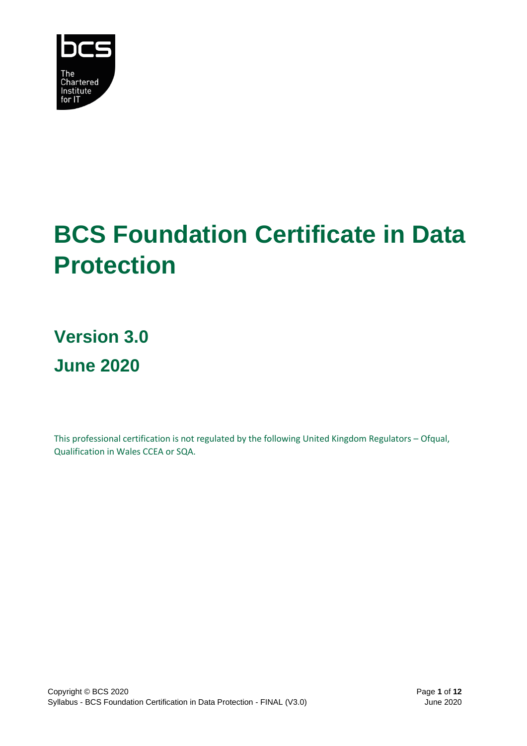

# **BCS Foundation Certificate in Data Protection**

**Version 3.0 June 2020**

This professional certification is not regulated by the following United Kingdom Regulators – Ofqual, Qualification in Wales CCEA or SQA.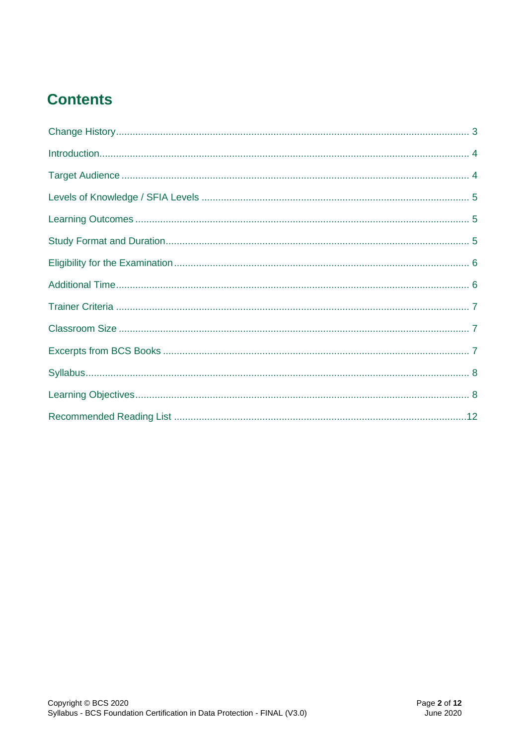# **Contents**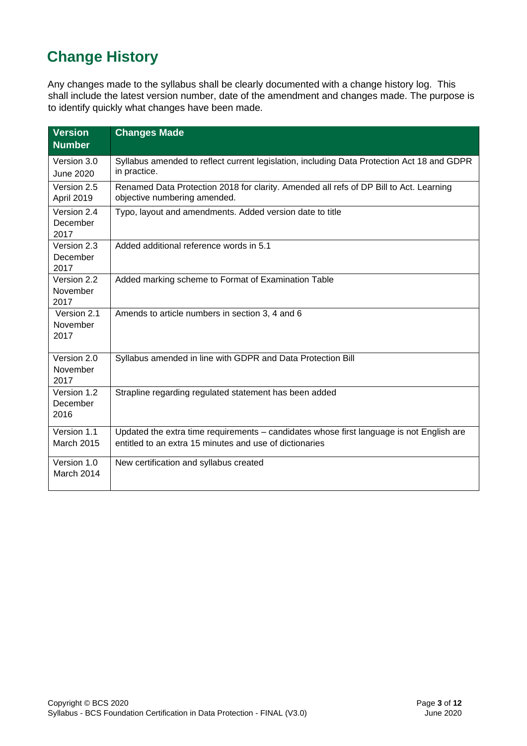# <span id="page-2-0"></span>**Change History**

Any changes made to the syllabus shall be clearly documented with a change history log. This shall include the latest version number, date of the amendment and changes made. The purpose is to identify quickly what changes have been made.

| <b>Version</b><br><b>Number</b>  | <b>Changes Made</b>                                                                                                                                 |
|----------------------------------|-----------------------------------------------------------------------------------------------------------------------------------------------------|
| Version 3.0<br><b>June 2020</b>  | Syllabus amended to reflect current legislation, including Data Protection Act 18 and GDPR<br>in practice.                                          |
| Version 2.5<br>April 2019        | Renamed Data Protection 2018 for clarity. Amended all refs of DP Bill to Act. Learning<br>objective numbering amended.                              |
| Version 2.4<br>December<br>2017  | Typo, layout and amendments. Added version date to title                                                                                            |
| Version 2.3<br>December<br>2017  | Added additional reference words in 5.1                                                                                                             |
| Version 2.2<br>November<br>2017  | Added marking scheme to Format of Examination Table                                                                                                 |
| Version 2.1<br>November<br>2017  | Amends to article numbers in section 3, 4 and 6                                                                                                     |
| Version 2.0<br>November<br>2017  | Syllabus amended in line with GDPR and Data Protection Bill                                                                                         |
| Version 1.2<br>December<br>2016  | Strapline regarding regulated statement has been added                                                                                              |
| Version 1.1<br><b>March 2015</b> | Updated the extra time requirements - candidates whose first language is not English are<br>entitled to an extra 15 minutes and use of dictionaries |
| Version 1.0<br>March 2014        | New certification and syllabus created                                                                                                              |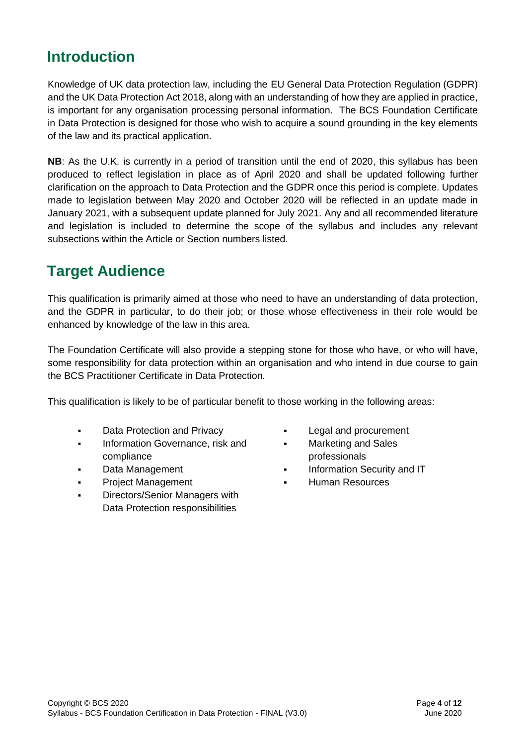### <span id="page-3-0"></span>**Introduction**

Knowledge of UK data protection law, including the EU General Data Protection Regulation (GDPR) and the UK Data Protection Act 2018, along with an understanding of how they are applied in practice, is important for any organisation processing personal information. The BCS Foundation Certificate in Data Protection is designed for those who wish to acquire a sound grounding in the key elements of the law and its practical application.

**NB**: As the U.K. is currently in a period of transition until the end of 2020, this syllabus has been produced to reflect legislation in place as of April 2020 and shall be updated following further clarification on the approach to Data Protection and the GDPR once this period is complete. Updates made to legislation between May 2020 and October 2020 will be reflected in an update made in January 2021, with a subsequent update planned for July 2021. Any and all recommended literature and legislation is included to determine the scope of the syllabus and includes any relevant subsections within the Article or Section numbers listed.

### <span id="page-3-1"></span>**Target Audience**

This qualification is primarily aimed at those who need to have an understanding of data protection, and the GDPR in particular, to do their job; or those whose effectiveness in their role would be enhanced by knowledge of the law in this area.

The Foundation Certificate will also provide a stepping stone for those who have, or who will have, some responsibility for data protection within an organisation and who intend in due course to gain the BCS Practitioner Certificate in Data Protection.

This qualification is likely to be of particular benefit to those working in the following areas:

- Data Protection and Privacy
- **·** Information Governance, risk and compliance
- Data Management
- **Project Management**
- Directors/Senior Managers with Data Protection responsibilities
- Legal and procurement
- Marketing and Sales professionals
- Information Security and IT
- **Human Resources**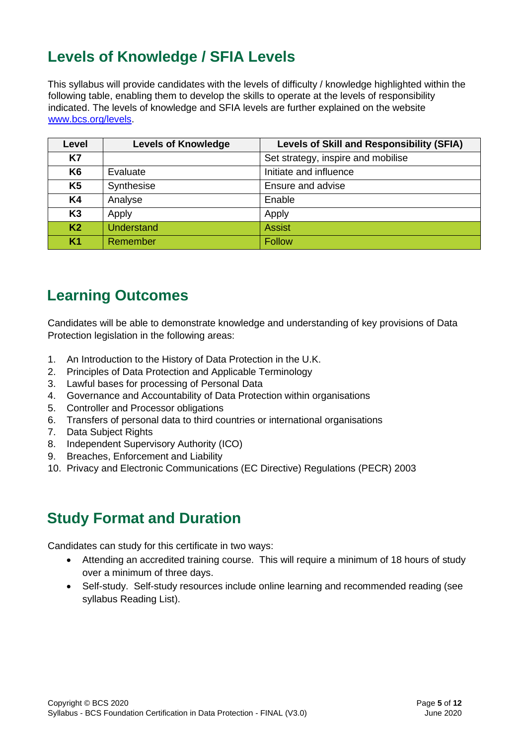# <span id="page-4-0"></span>**Levels of Knowledge / SFIA Levels**

This syllabus will provide candidates with the levels of difficulty / knowledge highlighted within the following table, enabling them to develop the skills to operate at the levels of responsibility indicated. The levels of knowledge and SFIA levels are further explained on the website [www.bcs.org/levels.](http://www.bcs.org/levels)

| Level          | <b>Levels of Knowledge</b> | <b>Levels of Skill and Responsibility (SFIA)</b> |
|----------------|----------------------------|--------------------------------------------------|
| K7             |                            | Set strategy, inspire and mobilise               |
| K <sub>6</sub> | Evaluate                   | Initiate and influence                           |
| K <sub>5</sub> | Synthesise                 | Ensure and advise                                |
| <b>K4</b>      | Analyse                    | Enable                                           |
| K <sub>3</sub> | Apply                      | Apply                                            |
| K <sub>2</sub> | <b>Understand</b>          | <b>Assist</b>                                    |
| <b>K1</b>      | Remember                   | <b>Follow</b>                                    |

# <span id="page-4-1"></span>**Learning Outcomes**

Candidates will be able to demonstrate knowledge and understanding of key provisions of Data Protection legislation in the following areas:

- 1. An Introduction to the History of Data Protection in the U.K.
- 2. Principles of Data Protection and Applicable Terminology
- 3. Lawful bases for processing of Personal Data
- 4. Governance and Accountability of Data Protection within organisations
- 5. Controller and Processor obligations
- 6. Transfers of personal data to third countries or international organisations
- 7. Data Subject Rights
- 8. Independent Supervisory Authority (ICO)
- 9. Breaches, Enforcement and Liability
- 10. Privacy and Electronic Communications (EC Directive) Regulations (PECR) 2003

### <span id="page-4-2"></span>**Study Format and Duration**

Candidates can study for this certificate in two ways:

- Attending an accredited training course. This will require a minimum of 18 hours of study over a minimum of three days.
- Self-study. Self-study resources include online learning and recommended reading (see syllabus Reading List).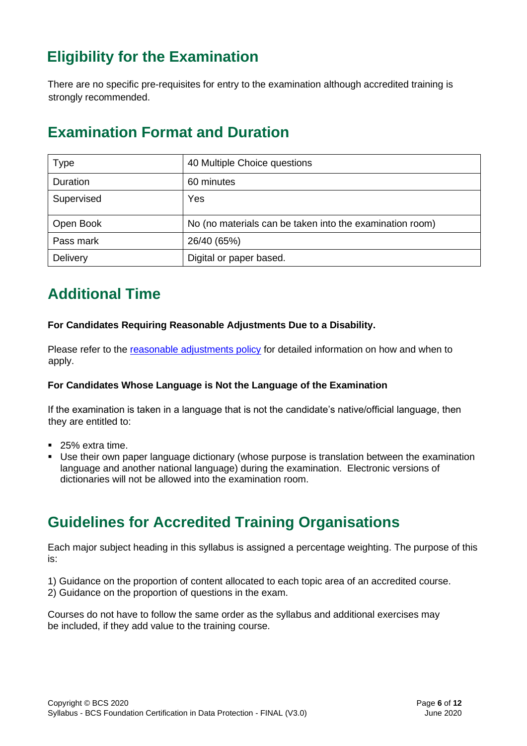# <span id="page-5-0"></span>**Eligibility for the Examination**

There are no specific pre-requisites for entry to the examination although accredited training is strongly recommended.

### **Examination Format and Duration**

| Type       | 40 Multiple Choice questions                             |
|------------|----------------------------------------------------------|
| Duration   | 60 minutes                                               |
| Supervised | Yes                                                      |
| Open Book  | No (no materials can be taken into the examination room) |
| Pass mark  | 26/40 (65%)                                              |
| Delivery   | Digital or paper based.                                  |

# <span id="page-5-1"></span>**Additional Time**

#### **For Candidates Requiring Reasonable Adjustments Due to a Disability.**

Please refer to the [reasonable adjustments policy](https://certifications.bcs.org/upload/pdf/reasonable-adjustments-policy_1.pdf) for detailed information on how and when to apply.

#### **For Candidates Whose Language is Not the Language of the Examination**

If the examination is taken in a language that is not the candidate's native/official language, then they are entitled to:

- 25% extra time.
- **E** Use their own paper language dictionary (whose purpose is translation between the examination language and another national language) during the examination. Electronic versions of dictionaries will not be allowed into the examination room.

### **Guidelines for Accredited Training Organisations**

Each major subject heading in this syllabus is assigned a percentage weighting. The purpose of this is:

1) Guidance on the proportion of content allocated to each topic area of an accredited course. 2) Guidance on the proportion of questions in the exam.

Courses do not have to follow the same order as the syllabus and additional exercises may be included, if they add value to the training course.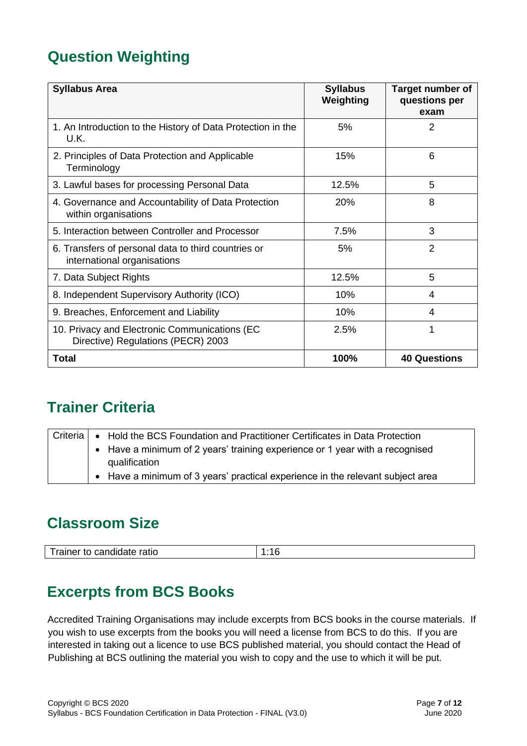# **Question Weighting**

| <b>Syllabus Area</b>                                                                | <b>Syllabus</b><br>Weighting | <b>Target number of</b><br>questions per<br>exam |
|-------------------------------------------------------------------------------------|------------------------------|--------------------------------------------------|
| 1. An Introduction to the History of Data Protection in the<br>U.K.                 | 5%                           | $\overline{2}$                                   |
| 2. Principles of Data Protection and Applicable<br>Terminology                      | 15%                          | 6                                                |
| 3. Lawful bases for processing Personal Data                                        | 12.5%                        | 5                                                |
| 4. Governance and Accountability of Data Protection<br>within organisations         | 20%                          | 8                                                |
| 5. Interaction between Controller and Processor                                     | 7.5%                         | 3                                                |
| 6. Transfers of personal data to third countries or<br>international organisations  | 5%                           | $\overline{2}$                                   |
| 7. Data Subject Rights                                                              | 12.5%                        | 5                                                |
| 8. Independent Supervisory Authority (ICO)                                          | 10%                          | 4                                                |
| 9. Breaches, Enforcement and Liability                                              | 10%                          | 4                                                |
| 10. Privacy and Electronic Communications (EC<br>Directive) Regulations (PECR) 2003 | 2.5%                         | 1                                                |
| Total                                                                               | 100%                         | <b>40 Questions</b>                              |

# <span id="page-6-0"></span>**Trainer Criteria**

|  | Griteria $ \bullet\>$ Hold the BCS Foundation and Practitioner Certificates in Data Protection |
|--|------------------------------------------------------------------------------------------------|
|  | • Have a minimum of 2 years' training experience or 1 year with a recognised                   |
|  | qualification                                                                                  |
|  | • Have a minimum of 3 years' practical experience in the relevant subject area                 |

### <span id="page-6-1"></span>**Classroom Size**

|--|

### <span id="page-6-2"></span>**Excerpts from BCS Books**

Accredited Training Organisations may include excerpts from BCS books in the course materials. If you wish to use excerpts from the books you will need a license from BCS to do this. If you are interested in taking out a licence to use BCS published material, you should contact the Head of Publishing at BCS outlining the material you wish to copy and the use to which it will be put.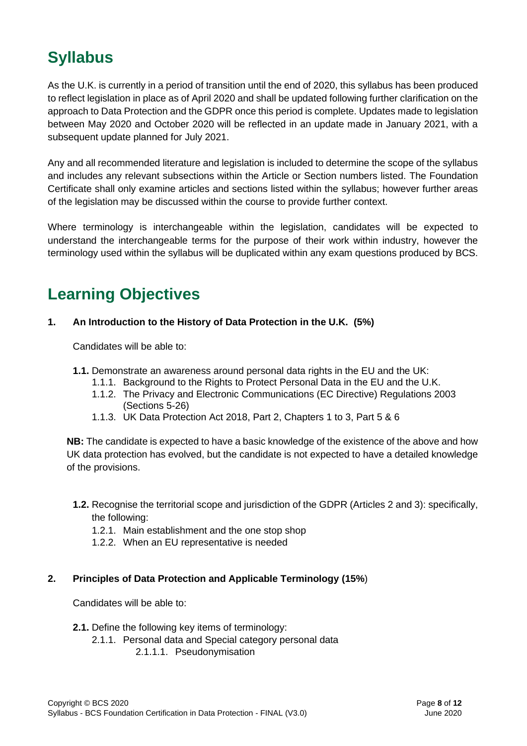# <span id="page-7-0"></span>**Syllabus**

As the U.K. is currently in a period of transition until the end of 2020, this syllabus has been produced to reflect legislation in place as of April 2020 and shall be updated following further clarification on the approach to Data Protection and the GDPR once this period is complete. Updates made to legislation between May 2020 and October 2020 will be reflected in an update made in January 2021, with a subsequent update planned for July 2021.

Any and all recommended literature and legislation is included to determine the scope of the syllabus and includes any relevant subsections within the Article or Section numbers listed. The Foundation Certificate shall only examine articles and sections listed within the syllabus; however further areas of the legislation may be discussed within the course to provide further context.

Where terminology is interchangeable within the legislation, candidates will be expected to understand the interchangeable terms for the purpose of their work within industry, however the terminology used within the syllabus will be duplicated within any exam questions produced by BCS.

# <span id="page-7-1"></span>**Learning Objectives**

### **1. An Introduction to the History of Data Protection in the U.K. (5%)**

Candidates will be able to:

- **1.1.** Demonstrate an awareness around personal data rights in the EU and the UK:
	- 1.1.1. Background to the Rights to Protect Personal Data in the EU and the U.K.
	- 1.1.2. The Privacy and Electronic Communications (EC Directive) Regulations 2003 (Sections 5-26)
	- 1.1.3. UK Data Protection Act 2018, Part 2, Chapters 1 to 3, Part 5 & 6

**NB:** The candidate is expected to have a basic knowledge of the existence of the above and how UK data protection has evolved, but the candidate is not expected to have a detailed knowledge of the provisions.

- **1.2.** Recognise the territorial scope and jurisdiction of the GDPR (Articles 2 and 3): specifically, the following:
	- 1.2.1. Main establishment and the one stop shop
	- 1.2.2. When an EU representative is needed

### **2. Principles of Data Protection and Applicable Terminology (15%**)

- **2.1.** Define the following key items of terminology:
	- 2.1.1. Personal data and Special category personal data
		- 2.1.1.1. Pseudonymisation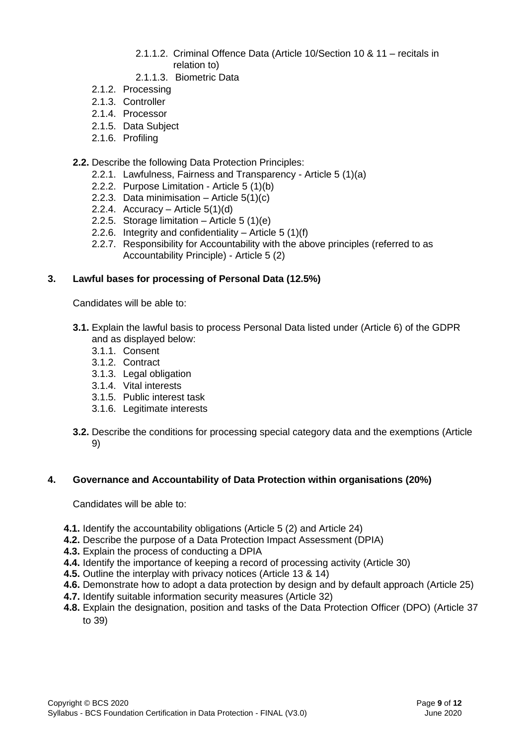- 2.1.1.2. Criminal Offence Data (Article 10/Section 10 & 11 recitals in relation to)
- 2.1.1.3. Biometric Data
- 2.1.2. Processing
- 2.1.3. Controller
- 2.1.4. Processor
- 2.1.5. Data Subject
- 2.1.6. Profiling

#### **2.2.** Describe the following Data Protection Principles:

- 2.2.1. Lawfulness, Fairness and Transparency Article 5 (1)(a)
- 2.2.2. Purpose Limitation Article 5 (1)(b)
- 2.2.3. Data minimisation Article  $5(1)(c)$
- 2.2.4. Accuracy Article  $5(1)(d)$
- 2.2.5. Storage limitation Article 5 (1)(e)
- 2.2.6. Integrity and confidentiality Article 5 (1)(f)
- 2.2.7. Responsibility for Accountability with the above principles (referred to as Accountability Principle) - Article 5 (2)

#### **3. Lawful bases for processing of Personal Data (12.5%)**

Candidates will be able to:

- **3.1.** Explain the lawful basis to process Personal Data listed under (Article 6) of the GDPR and as displayed below:
	- 3.1.1. Consent
	- 3.1.2. Contract
	- 3.1.3. Legal obligation
	- 3.1.4. Vital interests
	- 3.1.5. Public interest task
	- 3.1.6. Legitimate interests
- **3.2.** Describe the conditions for processing special category data and the exemptions (Article 9)

#### **4. Governance and Accountability of Data Protection within organisations (20%)**

- **4.1.** Identify the accountability obligations (Article 5 (2) and Article 24)
- **4.2.** Describe the purpose of a Data Protection Impact Assessment (DPIA)
- **4.3.** Explain the process of conducting a DPIA
- **4.4.** Identify the importance of keeping a record of processing activity (Article 30)
- **4.5.** Outline the interplay with privacy notices (Article 13 & 14)
- **4.6.** Demonstrate how to adopt a data protection by design and by default approach (Article 25)
- **4.7.** Identify suitable information security measures (Article 32)
- **4.8.** Explain the designation, position and tasks of the Data Protection Officer (DPO) (Article 37 to 39)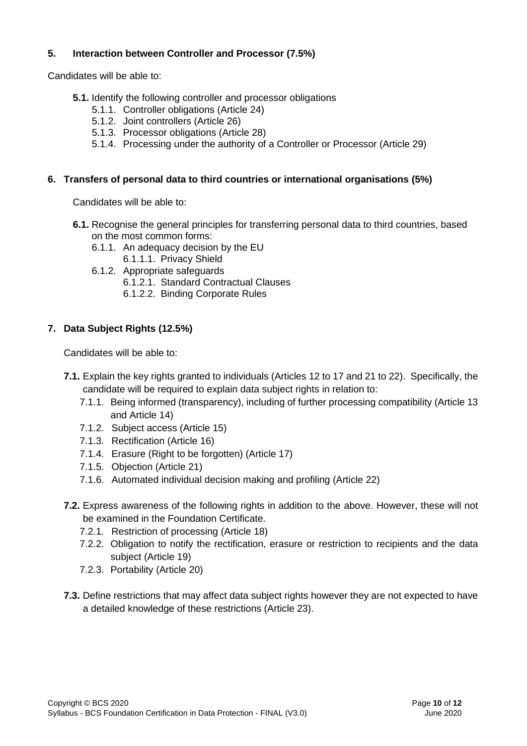### **5. Interaction between Controller and Processor (7.5%)**

Candidates will be able to:

- **5.1.** Identify the following controller and processor obligations
	- 5.1.1. Controller obligations (Article 24)
	- 5.1.2. Joint controllers (Article 26)
	- 5.1.3. Processor obligations (Article 28)
	- 5.1.4. Processing under the authority of a Controller or Processor (Article 29)

#### **6. Transfers of personal data to third countries or international organisations (5%)**

Candidates will be able to:

- **6.1.** Recognise the general principles for transferring personal data to third countries, based on the most common forms:
	- 6.1.1. An adequacy decision by the EU
	- 6.1.1.1. Privacy Shield
	- 6.1.2. Appropriate safeguards
		- 6.1.2.1. Standard Contractual Clauses
		- 6.1.2.2. Binding Corporate Rules

### **7. Data Subject Rights (12.5%)**

- **7.1.** Explain the key rights granted to individuals (Articles 12 to 17 and 21 to 22). Specifically, the candidate will be required to explain data subject rights in relation to:
	- 7.1.1. Being informed (transparency), including of further processing compatibility (Article 13 and Article 14)
	- 7.1.2. Subject access (Article 15)
	- 7.1.3. Rectification (Article 16)
	- 7.1.4. Erasure (Right to be forgotten) (Article 17)
	- 7.1.5. Objection (Article 21)
	- 7.1.6. Automated individual decision making and profiling (Article 22)
- **7.2.** Express awareness of the following rights in addition to the above. However, these will not be examined in the Foundation Certificate.
	- 7.2.1. Restriction of processing (Article 18)
	- 7.2.2. Obligation to notify the rectification, erasure or restriction to recipients and the data subject (Article 19)
	- 7.2.3. Portability (Article 20)
- **7.3.** Define restrictions that may affect data subject rights however they are not expected to have a detailed knowledge of these restrictions (Article 23).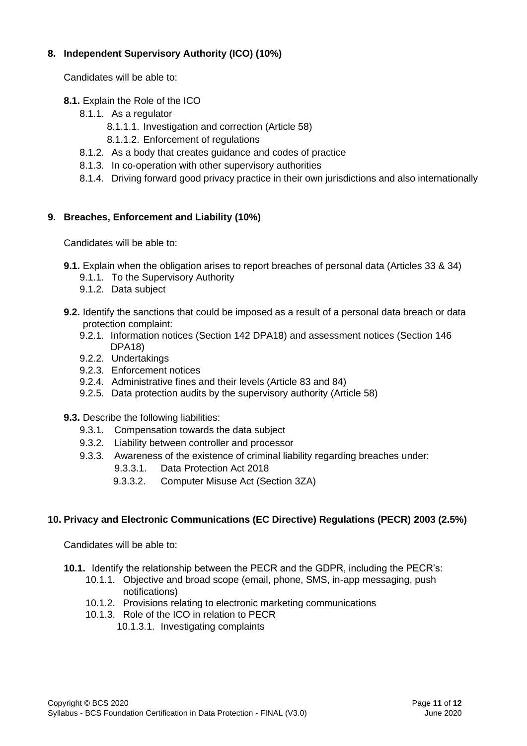### **8. Independent Supervisory Authority (ICO) (10%)**

Candidates will be able to:

#### **8.1.** Explain the Role of the ICO

- 8.1.1. As a regulator
	- 8.1.1.1. Investigation and correction (Article 58)
	- 8.1.1.2. Enforcement of regulations
- 8.1.2. As a body that creates guidance and codes of practice
- 8.1.3. In co-operation with other supervisory authorities
- 8.1.4. Driving forward good privacy practice in their own jurisdictions and also internationally

### **9. Breaches, Enforcement and Liability (10%)**

Candidates will be able to:

- **9.1.** Explain when the obligation arises to report breaches of personal data (Articles 33 & 34)
	- 9.1.1. To the Supervisory Authority
	- 9.1.2. Data subject
- **9.2.** Identify the sanctions that could be imposed as a result of a personal data breach or data protection complaint:
	- 9.2.1. Information notices (Section 142 DPA18) and assessment notices (Section 146 DPA18)
	- 9.2.2. Undertakings
	- 9.2.3. Enforcement notices
	- 9.2.4. Administrative fines and their levels (Article 83 and 84)
	- 9.2.5. Data protection audits by the supervisory authority (Article 58)
- **9.3.** Describe the following liabilities:
	- 9.3.1. Compensation towards the data subject
	- 9.3.2. Liability between controller and processor
	- 9.3.3. Awareness of the existence of criminal liability regarding breaches under:
		- 9.3.3.1. Data Protection Act 2018
		- 9.3.3.2. Computer Misuse Act (Section 3ZA)

### **10. Privacy and Electronic Communications (EC Directive) Regulations (PECR) 2003 (2.5%)**

- **10.1.** Identify the relationship between the PECR and the GDPR, including the PECR's:
	- 10.1.1. Objective and broad scope (email, phone, SMS, in-app messaging, push notifications)
	- 10.1.2. Provisions relating to electronic marketing communications
	- 10.1.3. Role of the ICO in relation to PECR
		- 10.1.3.1. Investigating complaints